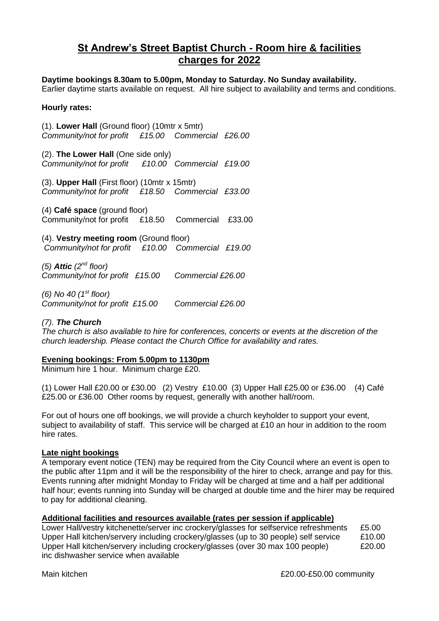# **St Andrew's Street Baptist Church - Room hire & facilities charges for 2022**

## **Daytime bookings 8.30am to 5.00pm, Monday to Saturday. No Sunday availability.**

Earlier daytime starts available on request. All hire subject to availability and terms and conditions.

### **Hourly rates:**

(1). **Lower Hall** (Ground floor) (10mtr x 5mtr) *Community/not for profit £15.00 Commercial £26.00*

(2). **The Lower Hall** (One side only) *Community/not for profit £10.00 Commercial £19.00*

(3). **Upper Hall** (First floor) (10mtr x 15mtr) *Community/not for profit £18.50 Commercial £33.00*

(4) **Café space** (ground floor) Community/not for profit £18.50 Commercial £33.00

(4). **Vestry meeting room** (Ground floor) *Community/not for profit £10.00 Commercial £19.00* 

*(5) Attic (2nd floor) Community/not for profit £15.00 Commercial £26.00*

*(6) No 40 (1st floor) Community/not for profit £15.00 Commercial £26.00*

## *(7). The Church*

*The church is also available to hire for conferences, concerts or events at the discretion of the church leadership. Please contact the Church Office for availability and rates.*

#### **Evening bookings: From 5.00pm to 1130pm**

Minimum hire 1 hour. Minimum charge £20.

(1) Lower Hall £20.00 or £30.00 (2) Vestry £10.00 (3) Upper Hall £25.00 or £36.00 (4) Café £25.00 or £36.00 Other rooms by request, generally with another hall/room.

For out of hours one off bookings, we will provide a church keyholder to support your event, subject to availability of staff. This service will be charged at £10 an hour in addition to the room hire rates.

#### **Late night bookings**

A temporary event notice (TEN) may be required from the City Council where an event is open to the public after 11pm and it will be the responsibility of the hirer to check, arrange and pay for this. Events running after midnight Monday to Friday will be charged at time and a half per additional half hour; events running into Sunday will be charged at double time and the hirer may be required to pay for additional cleaning.

## **Additional facilities and resources available (rates per session if applicable)**

Lower Hall/vestry kitchenette/server inc crockery/glasses for selfservice refreshments £5.00 Upper Hall kitchen/servery including crockery/glasses (up to 30 people) self service £10.00 Upper Hall kitchen/servery including crockery/glasses (over 30 max 100 people) £20.00 inc dishwasher service when available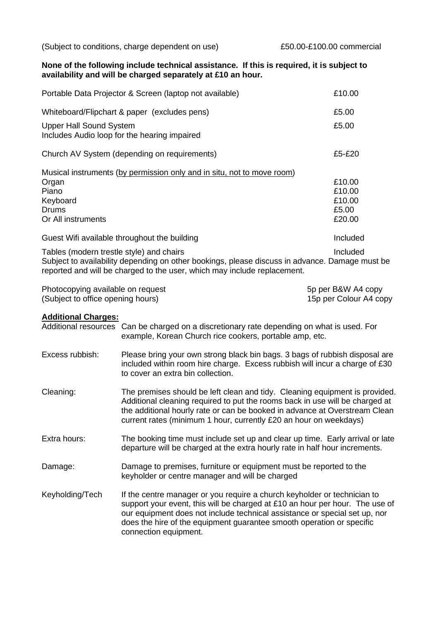(Subject to conditions, charge dependent on use) £50.00-£100.00 commercial

#### **None of the following include technical assistance. If this is required, it is subject to availability and will be charged separately at £10 an hour.**

| Portable Data Projector & Screen (laptop not available)                                                                                                                                                                | £10.00   |
|------------------------------------------------------------------------------------------------------------------------------------------------------------------------------------------------------------------------|----------|
| Whiteboard/Flipchart & paper (excludes pens)                                                                                                                                                                           | £5.00    |
| <b>Upper Hall Sound System</b><br>Includes Audio loop for the hearing impaired                                                                                                                                         | £5.00    |
| Church AV System (depending on requirements)                                                                                                                                                                           | £5-£20   |
| Musical instruments (by permission only and in situ, not to move room)                                                                                                                                                 |          |
| Organ                                                                                                                                                                                                                  | £10.00   |
| Piano                                                                                                                                                                                                                  | £10.00   |
| Keyboard                                                                                                                                                                                                               | £10.00   |
| Drums                                                                                                                                                                                                                  | £5.00    |
| Or All instruments                                                                                                                                                                                                     | £20.00   |
| Guest Wifi available throughout the building                                                                                                                                                                           | Included |
| Tables (modern trestle style) and chairs<br>Subject to availability depending on other bookings, please discuss in advance. Damage must be<br>reported and will be charged to the user, which may include replacement. | Included |

| Photocopying available on request | 5p per B&W A4 copy     |
|-----------------------------------|------------------------|
| (Subject to office opening hours) | 15p per Colour A4 copy |

#### **Additional Charges:**

Additional resources Can be charged on a discretionary rate depending on what is used. For example, Korean Church rice cookers, portable amp, etc. Excess rubbish: Please bring your own strong black bin bags. 3 bags of rubbish disposal are included within room hire charge. Excess rubbish will incur a charge of £30 to cover an extra bin collection. Cleaning: The premises should be left clean and tidy. Cleaning equipment is provided. Additional cleaning required to put the rooms back in use will be charged at the additional hourly rate or can be booked in advance at Overstream Clean current rates (minimum 1 hour, currently £20 an hour on weekdays) Extra hours: The booking time must include set up and clear up time. Early arrival or late departure will be charged at the extra hourly rate in half hour increments. Damage: Damage to premises, furniture or equipment must be reported to the keyholder or centre manager and will be charged Keyholding/Tech If the centre manager or you require a church keyholder or technician to support your event, this will be charged at £10 an hour per hour. The use of our equipment does not include technical assistance or special set up, nor does the hire of the equipment guarantee smooth operation or specific connection equipment.